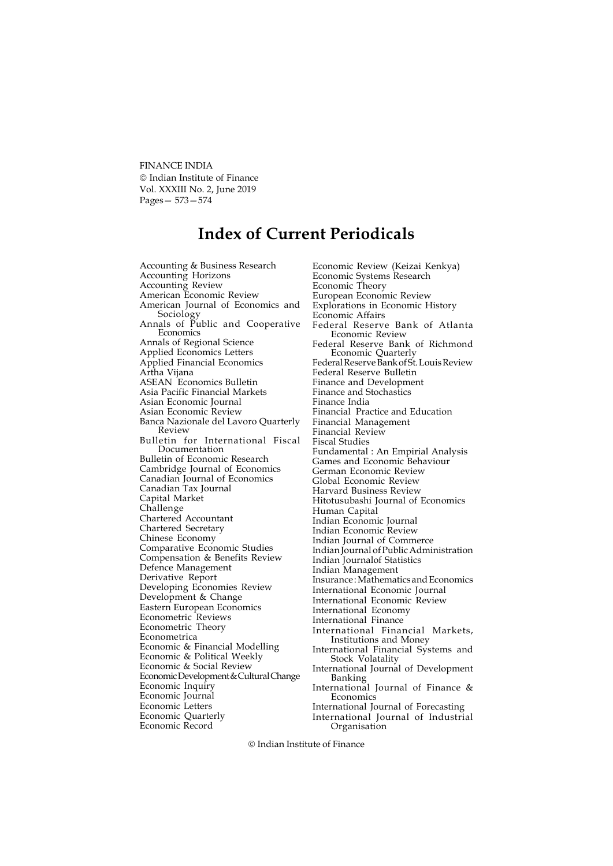FINANCE INDIA © Indian Institute of Finance Vol. XXXIII No. 2, June 2019 Pages— 573—574

## Index of Current Periodicals

Accounting & Business Research Accounting Horizons Accounting Review American Economic Review American Journal of Economics and Sociology Annals of Public and Cooperative Economics Annals of Regional Science Applied Economics Letters Applied Financial Economics Artha Vijana ASEAN Economics Bulletin Asia Pacific Financial Markets Asian Economic Journal Asian Economic Review Banca Nazionale del Lavoro Quarterly Review Bulletin for International Fiscal Documentation Bulletin of Economic Research Cambridge Journal of Economics Canadian Journal of Economics Canadian Tax Journal Capital Market Challenge Chartered Accountant Chartered Secretary Chinese Economy Comparative Economic Studies Compensation & Benefits Review Defence Management Derivative Report Developing Economies Review Development & Change Eastern European Economics Econometric Reviews Econometric Theory Econometrica Economic & Financial Modelling Economic & Political Weekly Economic & Social Review Economic Development & Cultural Change Economic Inquiry Economic Journal Economic Letters Economic Quarterly Economic Record

Economic Review (Keizai Kenkya) Economic Systems Research Economic Theory European Economic Review Explorations in Economic History Economic Affairs Federal Reserve Bank of Atlanta Economic Review Federal Reserve Bank of Richmond Economic Quarterly Federal Reserve Bank of St. Louis Review Federal Reserve Bulletin Finance and Development Finance and Stochastics Finance India Financial Practice and Education Financial Management Financial Review Fiscal Studies Fundamental : An Empirial Analysis Games and Economic Behaviour German Economic Review Global Economic Review Harvard Business Review Hitotusubashi Journal of Economics Human Capital Indian Economic Journal Indian Economic Review Indian Journal of Commerce Indian Journal of Public Administration Indian Journalof Statistics Indian Management Insurance : Mathematics and Economics International Economic Journal International Economic Review International Economy International Finance International Financial Markets, Institutions and Money International Financial Systems and Stock Volatality International Journal of Development Banking International Journal of Finance & Economics International Journal of Forecasting International Journal of Industrial

Indian Institute of Finance

Organisation